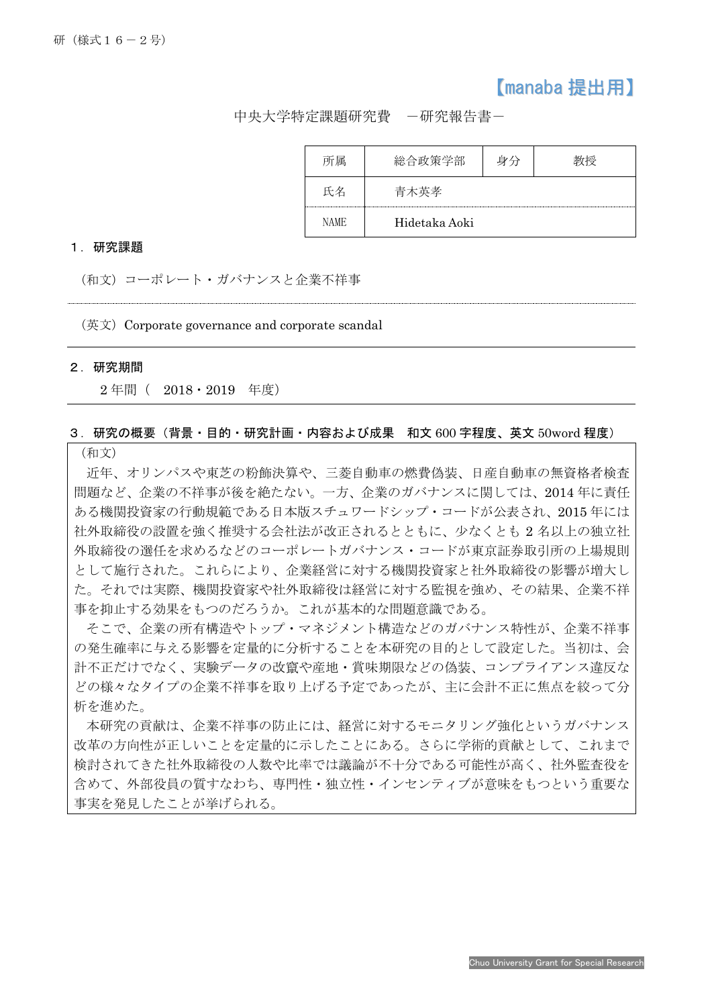# 【manaba 提出用】

中央大学特定課題研究費 -研究報告書-

| 属           | 総合政策学部        |  |
|-------------|---------------|--|
|             | 青木英孝          |  |
| <b>NAME</b> | Hidetaka Aoki |  |

#### 1.研究課題

(和文)コーポレート・ガバナンスと企業不祥事

 $(E \notimes E)$  Corporate governance and corporate scandal

#### 2.研究期間

İ

2 年間( 2018・2019 年度)

## 3.研究の概要(背景・目的・研究計画・内容および成果 和文 600 字程度、英文 50word 程度)

(和文)

近年、オリンパスや東芝の粉飾決算や、三菱自動車の燃費偽装、日産自動車の無資格者検査 問題など、企業の不祥事が後を絶たない。一方、企業のガバナンスに関しては、2014 年に責任 ある機関投資家の行動規範である日本版スチュワードシップ・コードが公表され、2015 年には 社外取締役の設置を強く推奨する会社法が改正されるとともに、少なくとも 2 名以上の独立社 外取締役の選任を求めるなどのコーポレートガバナンス・コードが東京証券取引所の上場規則 として施行された。これらにより、企業経営に対する機関投資家と社外取締役の影響が増大し た。それでは実際、機関投資家や社外取締役は経営に対する監視を強め、その結果、企業不祥 事を抑止する効果をもつのだろうか。これが基本的な問題意識である。

そこで、企業の所有構造やトップ・マネジメント構造などのガバナンス特性が、企業不祥事 の発生確率に与える影響を定量的に分析することを本研究の目的として設定した。当初は、会 計不正だけでなく、実験データの改竄や産地・賞味期限などの偽装、コンプライアンス違反な どの様々なタイプの企業不祥事を取り上げる予定であったが、主に会計不正に焦点を絞って分 析を進めた。

本研究の貢献は、企業不祥事の防止には、経営に対するモニタリング強化というガバナンス 改革の方向性が正しいことを定量的に示したことにある。さらに学術的貢献として、これまで 検討されてきた社外取締役の人数や比率では議論が不十分である可能性が高く、社外監査役を 含めて、外部役員の質すなわち、専門性・独立性・インセンティブが意味をもつという重要な 事実を発見したことが挙げられる。